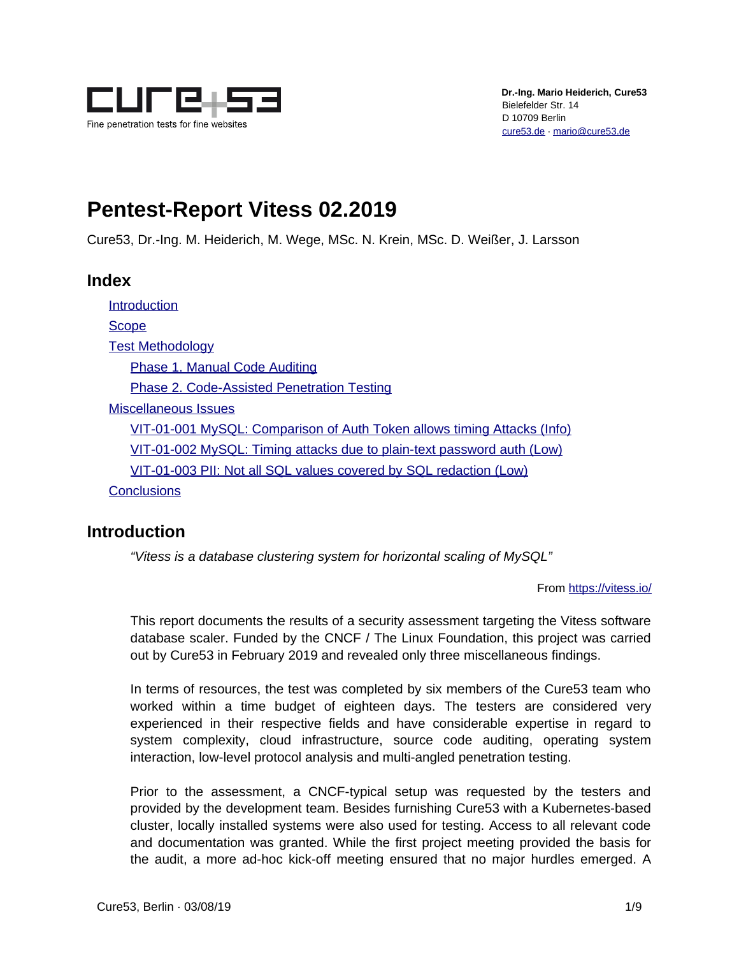

# **Pentest-Report Vitess 02.2019**

Cure53, Dr.-Ing. M. Heiderich, M. Wege, MSc. N. Krein, MSc. D. Weißer, J. Larsson

### **Index**

[Introduction](#page-0-0) **[Scope](#page-1-0)** [Test Methodology](#page-2-1) [Phase 1. Manual Code Auditing](#page-2-0) [Phase 2. Code-Assisted Penetration Testing](#page-3-0) [Miscellaneous Issues](#page-5-0) [VIT-01-001 MySQL: Comparison of Auth Token allows timing Attacks \(Info\)](#page-5-1) [VIT-01-002 MySQL: Timing attacks due to plain-text password auth \(Low\)](#page-6-0) [VIT-01-003 PII: Not all SQL values covered by SQL redaction \(Low\)](#page-7-0) **[Conclusions](#page-8-0)** 

### <span id="page-0-0"></span>**Introduction**

*"Vitess is a database clustering system for horizontal scaling of MySQL"*

From<https://vitess.io/>

This report documents the results of a security assessment targeting the Vitess software database scaler. Funded by the CNCF / The Linux Foundation, this project was carried out by Cure53 in February 2019 and revealed only three miscellaneous findings.

In terms of resources, the test was completed by six members of the Cure53 team who worked within a time budget of eighteen days. The testers are considered very experienced in their respective fields and have considerable expertise in regard to system complexity, cloud infrastructure, source code auditing, operating system interaction, low-level protocol analysis and multi-angled penetration testing.

Prior to the assessment, a CNCF-typical setup was requested by the testers and provided by the development team. Besides furnishing Cure53 with a Kubernetes-based cluster, locally installed systems were also used for testing. Access to all relevant code and documentation was granted. While the first project meeting provided the basis for the audit, a more ad-hoc kick-off meeting ensured that no major hurdles emerged. A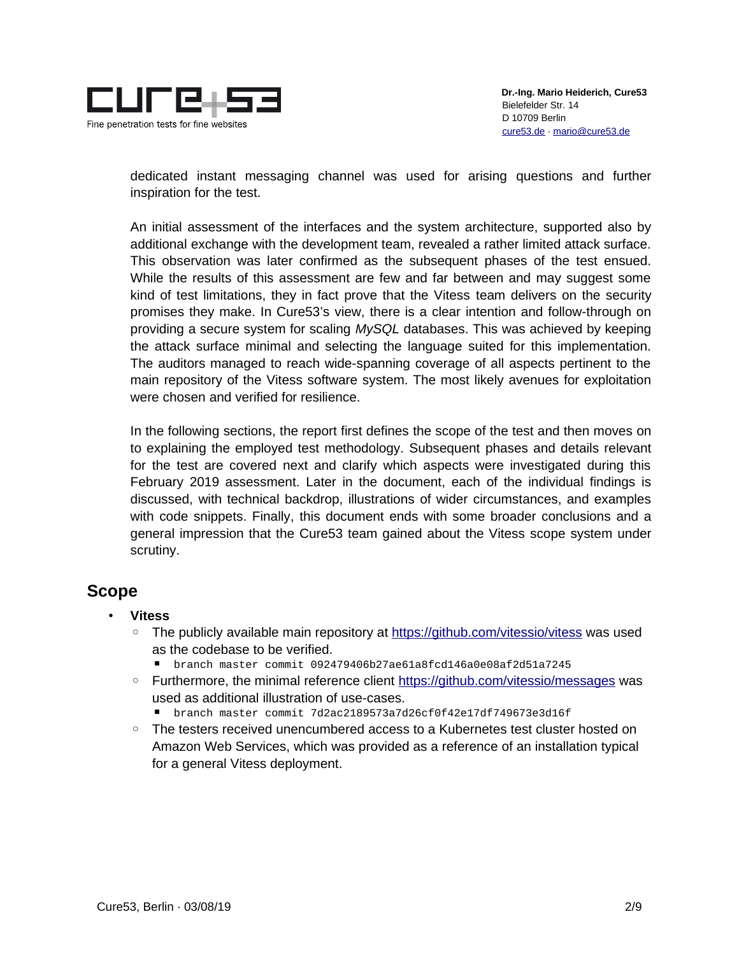

dedicated instant messaging channel was used for arising questions and further inspiration for the test.

An initial assessment of the interfaces and the system architecture, supported also by additional exchange with the development team, revealed a rather limited attack surface. This observation was later confirmed as the subsequent phases of the test ensued. While the results of this assessment are few and far between and may suggest some kind of test limitations, they in fact prove that the Vitess team delivers on the security promises they make. In Cure53's view, there is a clear intention and follow-through on providing a secure system for scaling *MySQL* databases. This was achieved by keeping the attack surface minimal and selecting the language suited for this implementation. The auditors managed to reach wide-spanning coverage of all aspects pertinent to the main repository of the Vitess software system. The most likely avenues for exploitation were chosen and verified for resilience.

In the following sections, the report first defines the scope of the test and then moves on to explaining the employed test methodology. Subsequent phases and details relevant for the test are covered next and clarify which aspects were investigated during this February 2019 assessment. Later in the document, each of the individual findings is discussed, with technical backdrop, illustrations of wider circumstances, and examples with code snippets. Finally, this document ends with some broader conclusions and a general impression that the Cure53 team gained about the Vitess scope system under scrutiny.

### <span id="page-1-0"></span>**Scope**

- **Vitess**
	- The publicly available main repository at<https://github.com/vitessio/vitess>was used as the codebase to be verified.
		- branch master commit 092479406b27ae61a8fcd146a0e08af2d51a7245
	- Furthermore, the minimal reference client <https://github.com/vitessio/messages>was used as additional illustration of use-cases.
		- branch master commit 7d2ac2189573a7d26cf0f42e17df749673e3d16f
	- The testers received unencumbered access to a Kubernetes test cluster hosted on Amazon Web Services, which was provided as a reference of an installation typical for a general Vitess deployment.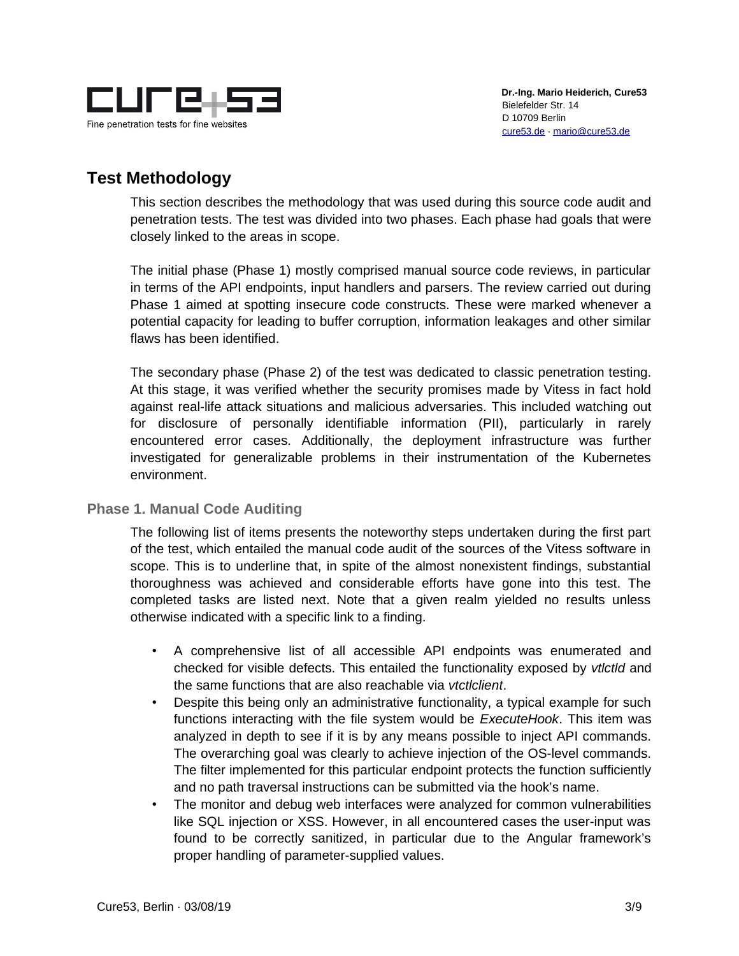

 **Dr.-Ing. Mario Heiderich, Cure53** Bielefelder Str. 14 D 10709 Berlin [cure53.de](https://cure53.de/) · [mario@cure53.de](mailto:mario@cure53.de)

## <span id="page-2-1"></span>**Test Methodology**

This section describes the methodology that was used during this source code audit and penetration tests. The test was divided into two phases. Each phase had goals that were closely linked to the areas in scope.

The initial phase (Phase 1) mostly comprised manual source code reviews, in particular in terms of the API endpoints, input handlers and parsers. The review carried out during Phase 1 aimed at spotting insecure code constructs. These were marked whenever a potential capacity for leading to buffer corruption, information leakages and other similar flaws has been identified.

The secondary phase (Phase 2) of the test was dedicated to classic penetration testing. At this stage, it was verified whether the security promises made by Vitess in fact hold against real-life attack situations and malicious adversaries. This included watching out for disclosure of personally identifiable information (PII), particularly in rarely encountered error cases. Additionally, the deployment infrastructure was further investigated for generalizable problems in their instrumentation of the Kubernetes environment.

### <span id="page-2-0"></span>**Phase 1. Manual Code Auditing**

The following list of items presents the noteworthy steps undertaken during the first part of the test, which entailed the manual code audit of the sources of the Vitess software in scope. This is to underline that, in spite of the almost nonexistent findings, substantial thoroughness was achieved and considerable efforts have gone into this test. The completed tasks are listed next. Note that a given realm yielded no results unless otherwise indicated with a specific link to a finding.

- A comprehensive list of all accessible API endpoints was enumerated and checked for visible defects. This entailed the functionality exposed by *vtlctld* and the same functions that are also reachable via *vtctlclient*.
- Despite this being only an administrative functionality, a typical example for such functions interacting with the file system would be *ExecuteHook*. This item was analyzed in depth to see if it is by any means possible to inject API commands. The overarching goal was clearly to achieve injection of the OS-level commands. The filter implemented for this particular endpoint protects the function sufficiently and no path traversal instructions can be submitted via the hook's name.
- The monitor and debug web interfaces were analyzed for common vulnerabilities like SQL injection or XSS. However, in all encountered cases the user-input was found to be correctly sanitized, in particular due to the Angular framework's proper handling of parameter-supplied values.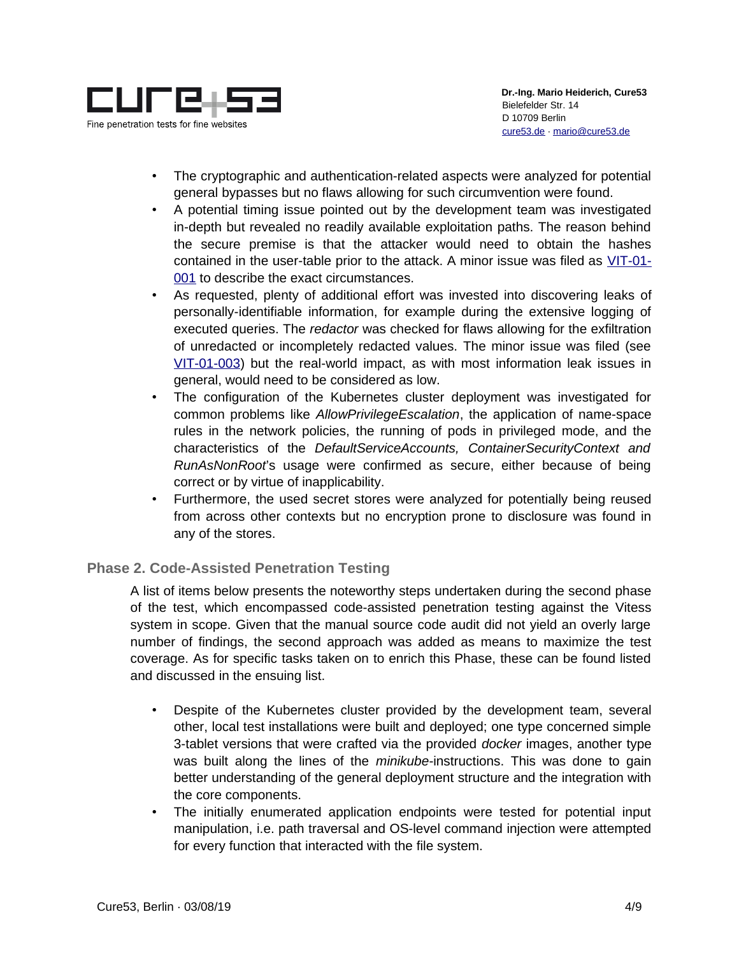

- The cryptographic and authentication-related aspects were analyzed for potential general bypasses but no flaws allowing for such circumvention were found.
- A potential timing issue pointed out by the development team was investigated in-depth but revealed no readily available exploitation paths. The reason behind the secure premise is that the attacker would need to obtain the hashes contained in the user-table prior to the attack. A minor issue was filed as [VIT-01-](#page-5-1) [001](#page-5-1) to describe the exact circumstances.
- As requested, plenty of additional effort was invested into discovering leaks of personally-identifiable information, for example during the extensive logging of executed queries. The *redactor* was checked for flaws allowing for the exfiltration of unredacted or incompletely redacted values. The minor issue was filed (see [VIT-01-003\)](#page-7-0) but the real-world impact, as with most information leak issues in general, would need to be considered as low.
- The configuration of the Kubernetes cluster deployment was investigated for common problems like *AllowPrivilegeEscalation*, the application of name-space rules in the network policies, the running of pods in privileged mode, and the characteristics of the *DefaultServiceAccounts, ContainerSecurityContext and RunAsNonRoot*'s usage were confirmed as secure, either because of being correct or by virtue of inapplicability.
- Furthermore, the used secret stores were analyzed for potentially being reused from across other contexts but no encryption prone to disclosure was found in any of the stores.

### <span id="page-3-0"></span>**Phase 2. Code-Assisted Penetration Testing**

A list of items below presents the noteworthy steps undertaken during the second phase of the test, which encompassed code-assisted penetration testing against the Vitess system in scope. Given that the manual source code audit did not yield an overly large number of findings, the second approach was added as means to maximize the test coverage. As for specific tasks taken on to enrich this Phase, these can be found listed and discussed in the ensuing list.

- Despite of the Kubernetes cluster provided by the development team, several other, local test installations were built and deployed; one type concerned simple 3-tablet versions that were crafted via the provided *docker* images, another type was built along the lines of the *minikube*-instructions. This was done to gain better understanding of the general deployment structure and the integration with the core components.
- The initially enumerated application endpoints were tested for potential input manipulation, i.e. path traversal and OS-level command injection were attempted for every function that interacted with the file system.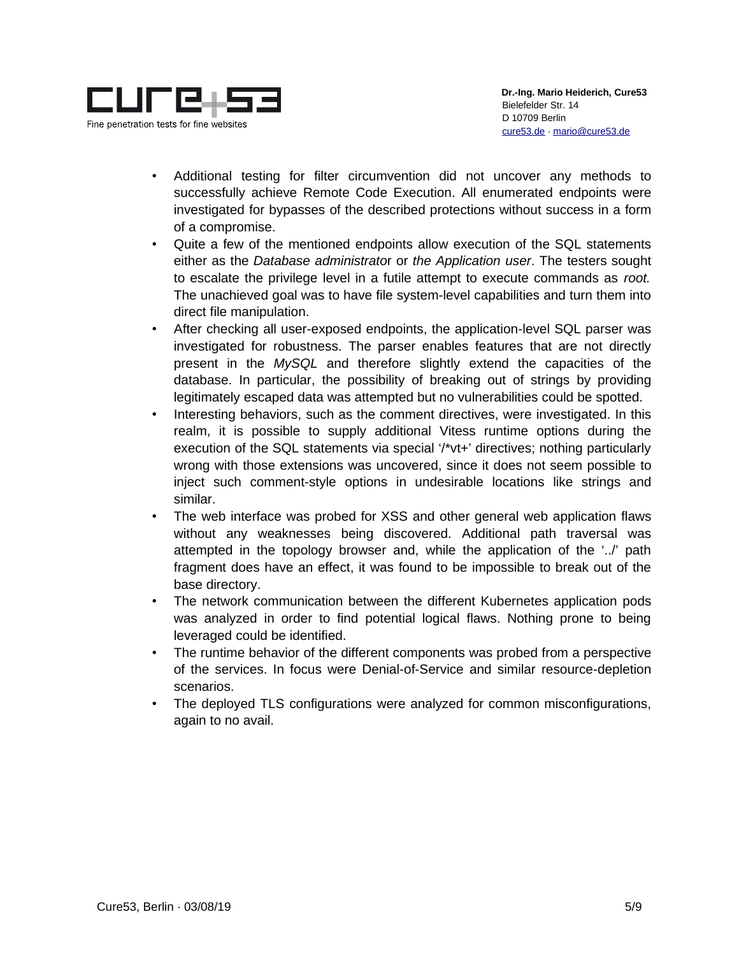

- Additional testing for filter circumvention did not uncover any methods to successfully achieve Remote Code Execution. All enumerated endpoints were investigated for bypasses of the described protections without success in a form of a compromise.
- Quite a few of the mentioned endpoints allow execution of the SQL statements either as the *Database administrato*r or *the Application user*. The testers sought to escalate the privilege level in a futile attempt to execute commands as *root.* The unachieved goal was to have file system-level capabilities and turn them into direct file manipulation.
- After checking all user-exposed endpoints, the application-level SQL parser was investigated for robustness. The parser enables features that are not directly present in the *MySQL* and therefore slightly extend the capacities of the database. In particular, the possibility of breaking out of strings by providing legitimately escaped data was attempted but no vulnerabilities could be spotted.
- Interesting behaviors, such as the comment directives, were investigated. In this realm, it is possible to supply additional Vitess runtime options during the execution of the SQL statements via special '/\*vt+' directives; nothing particularly wrong with those extensions was uncovered, since it does not seem possible to inject such comment-style options in undesirable locations like strings and similar.
- The web interface was probed for XSS and other general web application flaws without any weaknesses being discovered. Additional path traversal was attempted in the topology browser and, while the application of the '../' path fragment does have an effect, it was found to be impossible to break out of the base directory.
- The network communication between the different Kubernetes application pods was analyzed in order to find potential logical flaws. Nothing prone to being leveraged could be identified.
- The runtime behavior of the different components was probed from a perspective of the services. In focus were Denial-of-Service and similar resource-depletion scenarios.
- The deployed TLS configurations were analyzed for common misconfigurations, again to no avail.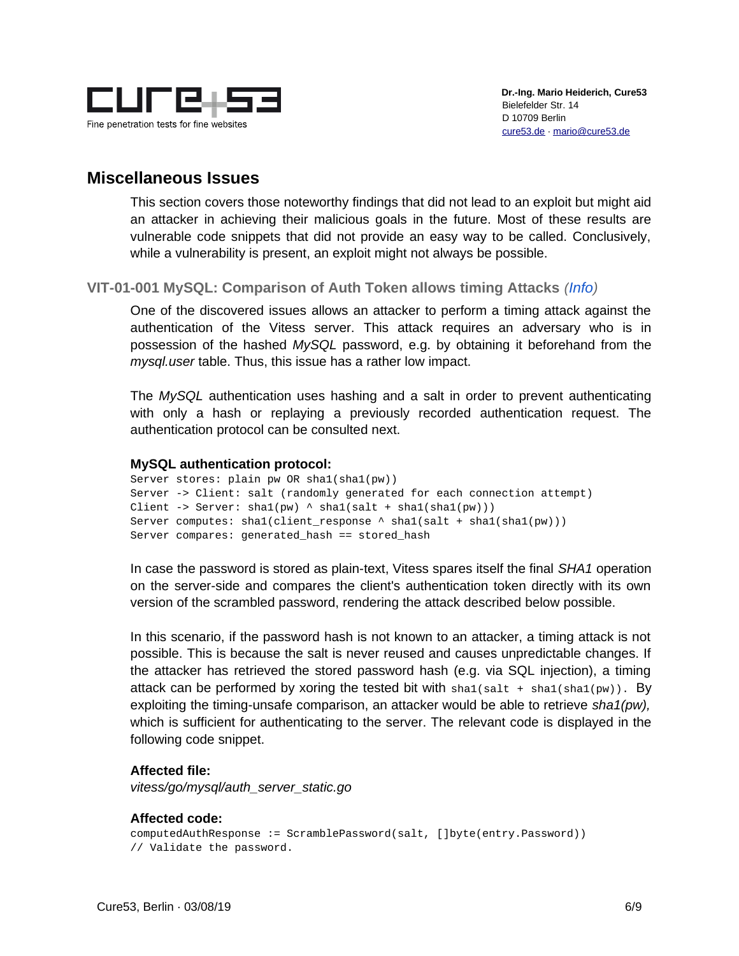

### <span id="page-5-0"></span>**Miscellaneous Issues**

This section covers those noteworthy findings that did not lead to an exploit but might aid an attacker in achieving their malicious goals in the future. Most of these results are vulnerable code snippets that did not provide an easy way to be called. Conclusively, while a vulnerability is present, an exploit might not always be possible.

<span id="page-5-1"></span>**VIT-01-001 MySQL: Comparison of Auth Token allows timing Attacks** *(Info)*

One of the discovered issues allows an attacker to perform a timing attack against the authentication of the Vitess server. This attack requires an adversary who is in possession of the hashed *MySQL* password, e.g. by obtaining it beforehand from the *mysql.user* table. Thus, this issue has a rather low impact.

The *MySQL* authentication uses hashing and a salt in order to prevent authenticating with only a hash or replaying a previously recorded authentication request. The authentication protocol can be consulted next.

#### **MySQL authentication protocol:**

```
Server stores: plain pw OR sha1(sha1(pw))
Server -> Client: salt (randomly generated for each connection attempt)
Client -> Server: sha1(pw) ^ sha1(salt + sha1(sha1(pw)))Server computes: shal(client_response \land shal(salt + shal(shal(pw)))Server compares: generated_hash == stored_hash
```
In case the password is stored as plain-text, Vitess spares itself the final *SHA1* operation on the server-side and compares the client's authentication token directly with its own version of the scrambled password, rendering the attack described below possible.

In this scenario, if the password hash is not known to an attacker, a timing attack is not possible. This is because the salt is never reused and causes unpredictable changes. If the attacker has retrieved the stored password hash (e.g. via SQL injection), a timing attack can be performed by xoring the tested bit with sha1(salt + sha1(sha1(pw)). By exploiting the timing-unsafe comparison, an attacker would be able to retrieve *sha1(pw),* which is sufficient for authenticating to the server. The relevant code is displayed in the following code snippet.

#### **Affected file:**

*vitess/go/mysql/auth\_server\_static.go*

#### **Affected code:**

```
computedAuthResponse := ScramblePassword(salt, []byte(entry.Password))
// Validate the password.
```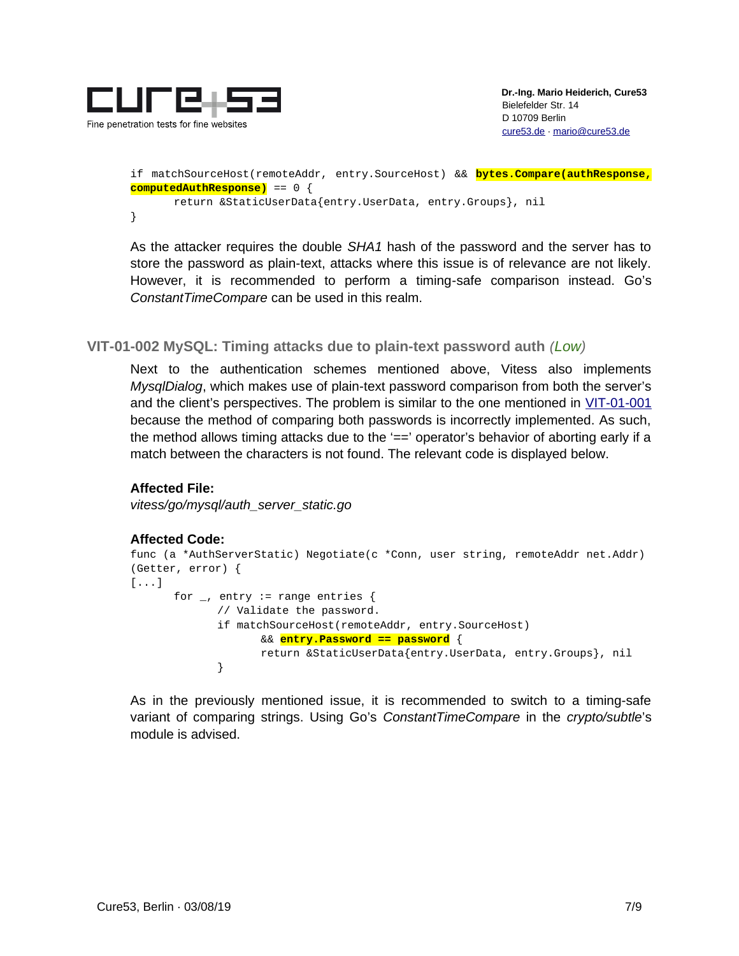

 **Dr.-Ing. Mario Heiderich, Cure53** Bielefelder Str. 14 D 10709 Berlin [cure53.de](https://cure53.de/) · [mario@cure53.de](mailto:mario@cure53.de)

```
if matchSourceHost(remoteAddr, entry.SourceHost) && bytes.Compare(authResponse,
computedAuthResponse) == 0 {
      return &StaticUserData{entry.UserData, entry.Groups}, nil
}
```
As the attacker requires the double *SHA1* hash of the password and the server has to store the password as plain-text, attacks where this issue is of relevance are not likely. However, it is recommended to perform a timing-safe comparison instead. Go's *ConstantTimeCompare* can be used in this realm.

<span id="page-6-0"></span>**VIT-01-002 MySQL: Timing attacks due to plain-text password auth** *(Low)*

Next to the authentication schemes mentioned above, Vitess also implements *MysqlDialog*, which makes use of plain-text password comparison from both the server's and the client's perspectives. The problem is similar to the one mentioned in [VIT-01-001](#page-5-1) because the method of comparing both passwords is incorrectly implemented. As such, the method allows timing attacks due to the '==' operator's behavior of aborting early if a match between the characters is not found. The relevant code is displayed below.

#### **Affected File:**

*vitess/go/mysql/auth\_server\_static.go*

```
Affected Code:
```

```
func (a *AuthServerStatic) Negotiate(c *Conn, user string, remoteAddr net.Addr) 
(Getter, error) {
[\ldots]for _{-}, entry := range entries {
             // Validate the password.
             if matchSourceHost(remoteAddr, entry.SourceHost)
                    && entry.Password == password {
                    return &StaticUserData{entry.UserData, entry.Groups}, nil
             }
```
As in the previously mentioned issue, it is recommended to switch to a timing-safe variant of comparing strings. Using Go's *ConstantTimeCompare* in the *crypto/subtle*'s module is advised.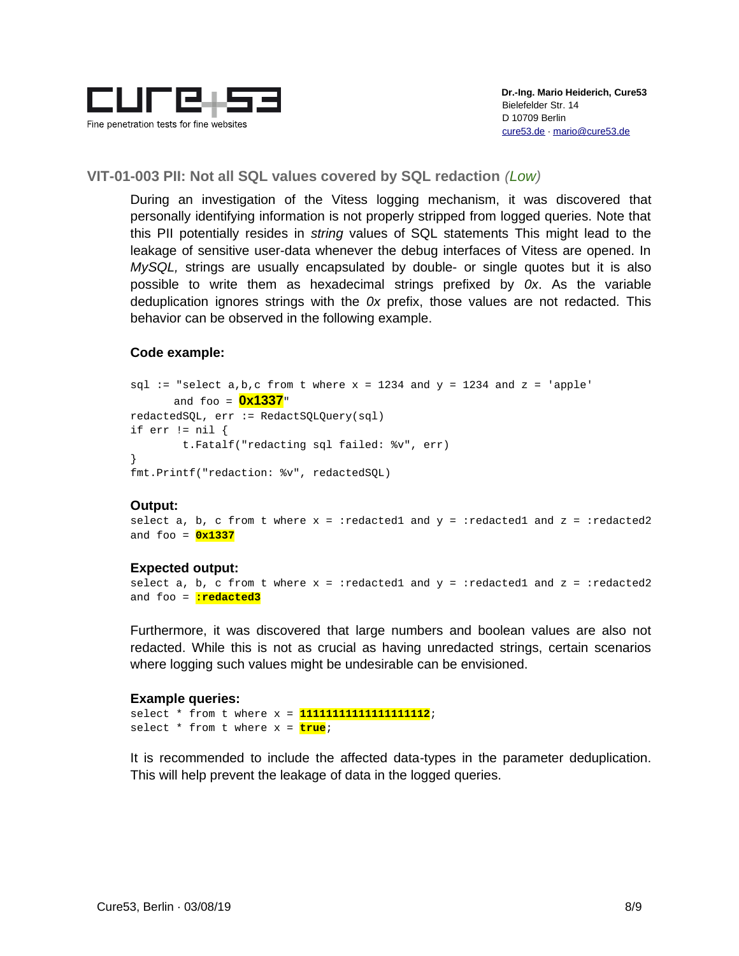

#### <span id="page-7-0"></span>**VIT-01-003 PII: Not all SQL values covered by SQL redaction** *(Low)*

During an investigation of the Vitess logging mechanism, it was discovered that personally identifying information is not properly stripped from logged queries. Note that this PII potentially resides in *string* values of SQL statements This might lead to the leakage of sensitive user-data whenever the debug interfaces of Vitess are opened. In *MySQL,* strings are usually encapsulated by double- or single quotes but it is also possible to write them as hexadecimal strings prefixed by *0x*. As the variable deduplication ignores strings with the *0x* prefix, those values are not redacted. This behavior can be observed in the following example.

#### **Code example:**

```
sql := "select a, b, c from t where x = 1234 and y = 1234 and z = 'apple'and foo = 0x1337"
redactedSQL, err := RedactSQLQuery(sql)
if err != nil {
        t.Fatalf("redacting sql failed: %v", err)
}
fmt.Printf("redaction: %v", redactedSQL)
```
#### **Output:**

```
select a, b, c from t where x =:redacted1 and y =:redacted1 and z =:redacted2
and foo = 0x1337
```
#### **Expected output:**

```
select a, b, c from t where x =:redacted1 and y =:redacted1 and z =:redacted2
and foo = :redacted3
```
Furthermore, it was discovered that large numbers and boolean values are also not redacted. While this is not as crucial as having unredacted strings, certain scenarios where logging such values might be undesirable can be envisioned.

#### **Example queries:**

select \* from t where x = **11111111111111111112**; select \* from t where x = **true**;

It is recommended to include the affected data-types in the parameter deduplication. This will help prevent the leakage of data in the logged queries.